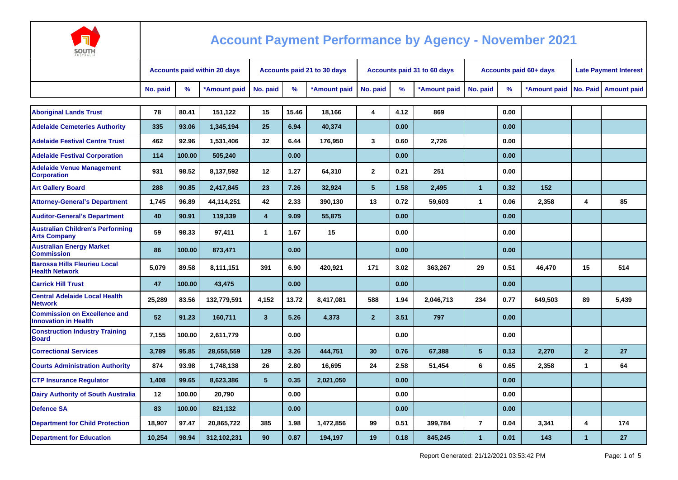

| <b>AUSTRALIA</b>                                                   |                                     |        |              |                             |       |              |                |      |                                    |                 |                               |                              |                      |                        |
|--------------------------------------------------------------------|-------------------------------------|--------|--------------|-----------------------------|-------|--------------|----------------|------|------------------------------------|-----------------|-------------------------------|------------------------------|----------------------|------------------------|
|                                                                    | <b>Accounts paid within 20 days</b> |        |              | Accounts paid 21 to 30 days |       |              |                |      | <b>Accounts paid 31 to 60 days</b> |                 | <b>Accounts paid 60+ days</b> | <b>Late Payment Interest</b> |                      |                        |
|                                                                    | No. paid                            | %      | *Amount paid | No. paid                    | %     | *Amount paid | No. paid       | %    | *Amount paid                       | No. paid        | %                             | *Amount paid                 |                      | No. Paid   Amount paid |
|                                                                    |                                     |        |              |                             |       |              |                |      |                                    |                 |                               |                              |                      |                        |
| <b>Aboriginal Lands Trust</b>                                      | 78                                  | 80.41  | 151,122      | 15                          | 15.46 | 18,166       | 4              | 4.12 | 869                                |                 | 0.00                          |                              |                      |                        |
| <b>Adelaide Cemeteries Authority</b>                               | 335                                 | 93.06  | 1,345,194    | 25                          | 6.94  | 40.374       |                | 0.00 |                                    |                 | 0.00                          |                              |                      |                        |
| <b>Adelaide Festival Centre Trust</b>                              | 462                                 | 92.96  | 1,531,406    | 32                          | 6.44  | 176,950      | 3              | 0.60 | 2,726                              |                 | 0.00                          |                              |                      |                        |
| <b>Adelaide Festival Corporation</b>                               | 114                                 | 100.00 | 505,240      |                             | 0.00  |              |                | 0.00 |                                    |                 | 0.00                          |                              |                      |                        |
| <b>Adelaide Venue Management</b><br><b>Corporation</b>             | 931                                 | 98.52  | 8,137,592    | 12                          | 1.27  | 64,310       | $\mathbf{2}$   | 0.21 | 251                                |                 | 0.00                          |                              |                      |                        |
| <b>Art Gallery Board</b>                                           | 288                                 | 90.85  | 2,417,845    | 23                          | 7.26  | 32,924       | 5              | 1.58 | 2,495                              | $\mathbf{1}$    | 0.32                          | 152                          |                      |                        |
| <b>Attorney-General's Department</b>                               | 1,745                               | 96.89  | 44,114,251   | 42                          | 2.33  | 390,130      | 13             | 0.72 | 59,603                             | 1               | 0.06                          | 2,358                        | 4                    | 85                     |
| <b>Auditor-General's Department</b>                                | 40                                  | 90.91  | 119,339      | $\overline{4}$              | 9.09  | 55,875       |                | 0.00 |                                    |                 | 0.00                          |                              |                      |                        |
| <b>Australian Children's Performing</b><br><b>Arts Company</b>     | 59                                  | 98.33  | 97,411       | $\mathbf{1}$                | 1.67  | 15           |                | 0.00 |                                    |                 | 0.00                          |                              |                      |                        |
| <b>Australian Energy Market</b><br><b>Commission</b>               | 86                                  | 100.00 | 873,471      |                             | 0.00  |              |                | 0.00 |                                    |                 | 0.00                          |                              |                      |                        |
| <b>Barossa Hills Fleurieu Local</b><br><b>Health Network</b>       | 5.079                               | 89.58  | 8,111,151    | 391                         | 6.90  | 420.921      | 171            | 3.02 | 363,267                            | 29              | 0.51                          | 46,470                       | 15                   | 514                    |
| <b>Carrick Hill Trust</b>                                          | 47                                  | 100.00 | 43,475       |                             | 0.00  |              |                | 0.00 |                                    |                 | 0.00                          |                              |                      |                        |
| <b>Central Adelaide Local Health</b><br><b>Network</b>             | 25,289                              | 83.56  | 132,779,591  | 4,152                       | 13.72 | 8,417,081    | 588            | 1.94 | 2,046,713                          | 234             | 0.77                          | 649,503                      | 89                   | 5,439                  |
| <b>Commission on Excellence and</b><br><b>Innovation in Health</b> | 52                                  | 91.23  | 160,711      | $\mathbf{3}$                | 5.26  | 4,373        | $\overline{2}$ | 3.51 | 797                                |                 | 0.00                          |                              |                      |                        |
| <b>Construction Industry Training</b><br><b>Board</b>              | 7,155                               | 100.00 | 2,611,779    |                             | 0.00  |              |                | 0.00 |                                    |                 | 0.00                          |                              |                      |                        |
| <b>Correctional Services</b>                                       | 3,789                               | 95.85  | 28,655,559   | 129                         | 3.26  | 444,751      | 30             | 0.76 | 67,388                             | $5\phantom{.0}$ | 0.13                          | 2,270                        | $\overline{2}$       | 27                     |
| <b>Courts Administration Authority</b>                             | 874                                 | 93.98  | 1,748,138    | 26                          | 2.80  | 16,695       | 24             | 2.58 | 51,454                             | 6               | 0.65                          | 2,358                        | $\mathbf 1$          | 64                     |
| <b>CTP Insurance Requlator</b>                                     | 1,408                               | 99.65  | 8,623,386    | $5\phantom{.0}$             | 0.35  | 2,021,050    |                | 0.00 |                                    |                 | 0.00                          |                              |                      |                        |
| <b>Dairy Authority of South Australia</b>                          | 12                                  | 100.00 | 20,790       |                             | 0.00  |              |                | 0.00 |                                    |                 | 0.00                          |                              |                      |                        |
| <b>Defence SA</b>                                                  | 83                                  | 100.00 | 821,132      |                             | 0.00  |              |                | 0.00 |                                    |                 | 0.00                          |                              |                      |                        |
| <b>Department for Child Protection</b>                             | 18,907                              | 97.47  | 20,865,722   | 385                         | 1.98  | 1,472,856    | 99             | 0.51 | 399,784                            | $\overline{7}$  | 0.04                          | 3,341                        | 4                    | 174                    |
| <b>Department for Education</b>                                    | 10,254                              | 98.94  | 312,102,231  | 90                          | 0.87  | 194,197      | 19             | 0.18 | 845,245                            | $\mathbf{1}$    | 0.01                          | 143                          | $\blacktriangleleft$ | 27                     |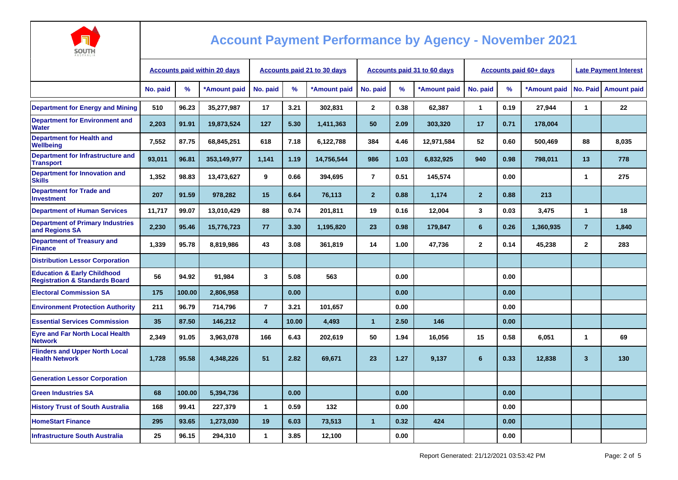

| AUSTRALIA                                                                           |                                     |        |              |                                    |       |              |                                    |      |              |                |                               |                              |                      |                    |
|-------------------------------------------------------------------------------------|-------------------------------------|--------|--------------|------------------------------------|-------|--------------|------------------------------------|------|--------------|----------------|-------------------------------|------------------------------|----------------------|--------------------|
|                                                                                     | <b>Accounts paid within 20 days</b> |        |              | <b>Accounts paid 21 to 30 days</b> |       |              | <b>Accounts paid 31 to 60 days</b> |      |              |                | <b>Accounts paid 60+ days</b> | <b>Late Payment Interest</b> |                      |                    |
|                                                                                     | No. paid                            | %      | *Amount paid | No. paid                           | %     | *Amount paid | No. paid                           | %    | *Amount paid | No. paid       | %                             | *Amount paid                 | No. Paid             | <b>Amount paid</b> |
| <b>Department for Energy and Mining</b>                                             | 510                                 | 96.23  | 35.277.987   | 17                                 | 3.21  | 302,831      | $\mathbf{2}$                       | 0.38 | 62,387       | $\mathbf{1}$   | 0.19                          | 27,944                       | $\blacktriangleleft$ | 22                 |
| <b>Department for Environment and</b><br>Water                                      | 2,203                               | 91.91  | 19,873,524   | 127                                | 5.30  | 1,411,363    | 50                                 | 2.09 | 303,320      | 17             | 0.71                          | 178,004                      |                      |                    |
| <b>Department for Health and</b><br>Wellbeing                                       | 7,552                               | 87.75  | 68,845,251   | 618                                | 7.18  | 6,122,788    | 384                                | 4.46 | 12,971,584   | 52             | 0.60                          | 500,469                      | 88                   | 8,035              |
| Department for Infrastructure and<br><b>Transport</b>                               | 93,011                              | 96.81  | 353,149,977  | 1,141                              | 1.19  | 14,756,544   | 986                                | 1.03 | 6,832,925    | 940            | 0.98                          | 798,011                      | 13                   | 778                |
| <b>Department for Innovation and</b><br><b>Skills</b>                               | 1,352                               | 98.83  | 13,473,627   | 9                                  | 0.66  | 394,695      | $\overline{7}$                     | 0.51 | 145,574      |                | 0.00                          |                              | 1                    | 275                |
| <b>Department for Trade and</b><br><b>Investment</b>                                | 207                                 | 91.59  | 978,282      | 15                                 | 6.64  | 76,113       | $\overline{2}$                     | 0.88 | 1,174        | $\overline{2}$ | 0.88                          | 213                          |                      |                    |
| <b>Department of Human Services</b>                                                 | 11,717                              | 99.07  | 13,010,429   | 88                                 | 0.74  | 201,811      | 19                                 | 0.16 | 12,004       | 3              | 0.03                          | 3,475                        | $\mathbf{1}$         | 18                 |
| <b>Department of Primary Industries</b><br>and Regions SA                           | 2,230                               | 95.46  | 15,776,723   | 77                                 | 3.30  | 1,195,820    | 23                                 | 0.98 | 179,847      | $6\phantom{a}$ | 0.26                          | 1,360,935                    | $\overline{7}$       | 1,840              |
| <b>Department of Treasury and</b><br><b>Finance</b>                                 | 1,339                               | 95.78  | 8,819,986    | 43                                 | 3.08  | 361,819      | 14                                 | 1.00 | 47,736       | $\mathbf 2$    | 0.14                          | 45,238                       | $\mathbf{2}$         | 283                |
| <b>Distribution Lessor Corporation</b>                                              |                                     |        |              |                                    |       |              |                                    |      |              |                |                               |                              |                      |                    |
| <b>Education &amp; Early Childhood</b><br><b>Registration &amp; Standards Board</b> | 56                                  | 94.92  | 91,984       | 3                                  | 5.08  | 563          |                                    | 0.00 |              |                | 0.00                          |                              |                      |                    |
| <b>Electoral Commission SA</b>                                                      | 175                                 | 100.00 | 2,806,958    |                                    | 0.00  |              |                                    | 0.00 |              |                | 0.00                          |                              |                      |                    |
| <b>Environment Protection Authority</b>                                             | 211                                 | 96.79  | 714,796      | $\overline{7}$                     | 3.21  | 101.657      |                                    | 0.00 |              |                | 0.00                          |                              |                      |                    |
| <b>Essential Services Commission</b>                                                | 35                                  | 87.50  | 146,212      | $\overline{4}$                     | 10.00 | 4,493        | $\overline{1}$                     | 2.50 | 146          |                | 0.00                          |                              |                      |                    |
| <b>Eyre and Far North Local Health</b><br><b>Network</b>                            | 2,349                               | 91.05  | 3,963,078    | 166                                | 6.43  | 202,619      | 50                                 | 1.94 | 16,056       | 15             | 0.58                          | 6,051                        | 1                    | 69                 |
| <b>Flinders and Upper North Local</b><br><b>Health Network</b>                      | 1,728                               | 95.58  | 4,348,226    | 51                                 | 2.82  | 69,671       | 23                                 | 1.27 | 9,137        | $6\phantom{1}$ | 0.33                          | 12,838                       | $\overline{3}$       | 130                |
| <b>Generation Lessor Corporation</b>                                                |                                     |        |              |                                    |       |              |                                    |      |              |                |                               |                              |                      |                    |
| <b>Green Industries SA</b>                                                          | 68                                  | 100.00 | 5,394,736    |                                    | 0.00  |              |                                    | 0.00 |              |                | 0.00                          |                              |                      |                    |
| <b>History Trust of South Australia</b>                                             | 168                                 | 99.41  | 227,379      | 1                                  | 0.59  | 132          |                                    | 0.00 |              |                | 0.00                          |                              |                      |                    |
| <b>HomeStart Finance</b>                                                            | 295                                 | 93.65  | 1,273,030    | 19                                 | 6.03  | 73,513       | $\mathbf{1}$                       | 0.32 | 424          |                | 0.00                          |                              |                      |                    |
| <b>Infrastructure South Australia</b>                                               | 25                                  | 96.15  | 294,310      | 1                                  | 3.85  | 12,100       |                                    | 0.00 |              |                | 0.00                          |                              |                      |                    |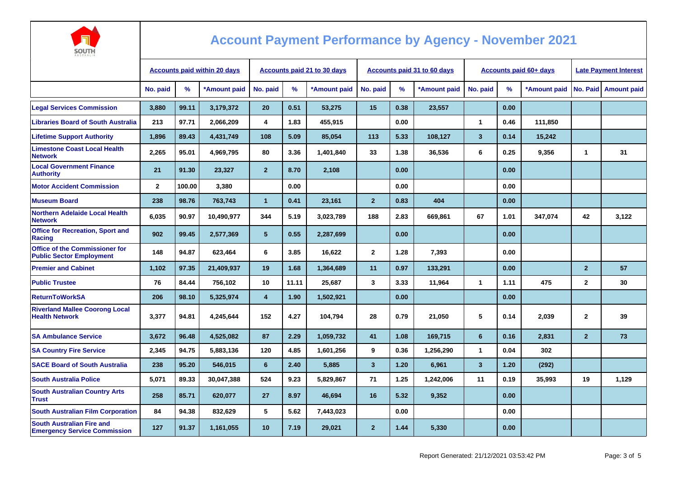

| AUSTRALIA                                                                |                                     |        |                                    |                         |       |                                    |                |               |              |                               |                              |              |                |                      |
|--------------------------------------------------------------------------|-------------------------------------|--------|------------------------------------|-------------------------|-------|------------------------------------|----------------|---------------|--------------|-------------------------------|------------------------------|--------------|----------------|----------------------|
|                                                                          | <b>Accounts paid within 20 days</b> |        | <b>Accounts paid 21 to 30 days</b> |                         |       | <b>Accounts paid 31 to 60 days</b> |                |               |              | <b>Accounts paid 60+ days</b> | <b>Late Payment Interest</b> |              |                |                      |
|                                                                          | No. paid                            | %      | *Amount paid                       | No. paid                | $\%$  | *Amount paid                       | No. paid       | $\frac{9}{6}$ | *Amount paid | No. paid                      | $\%$                         | *Amount paid |                | No. Paid Amount paid |
| <b>Legal Services Commission</b>                                         | 3,880                               | 99.11  | 3,179,372                          | 20                      | 0.51  | 53,275                             | 15             | 0.38          | 23,557       |                               | 0.00                         |              |                |                      |
| <b>Libraries Board of South Australia</b>                                | 213                                 | 97.71  | 2,066,209                          | 4                       | 1.83  | 455,915                            |                | 0.00          |              | $\blacktriangleleft$          | 0.46                         | 111,850      |                |                      |
| <b>Lifetime Support Authority</b>                                        | 1,896                               | 89.43  | 4,431,749                          | 108                     | 5.09  | 85,054                             | 113            | 5.33          | 108,127      | $\mathbf{3}$                  | 0.14                         | 15,242       |                |                      |
| <b>Limestone Coast Local Health</b><br><b>Network</b>                    | 2,265                               | 95.01  | 4,969,795                          | 80                      | 3.36  | 1,401,840                          | 33             | 1.38          | 36,536       | 6                             | 0.25                         | 9,356        | $\mathbf{1}$   | 31                   |
| <b>Local Government Finance</b><br><b>Authority</b>                      | 21                                  | 91.30  | 23,327                             | $\overline{2}$          | 8.70  | 2,108                              |                | 0.00          |              |                               | 0.00                         |              |                |                      |
| <b>Motor Accident Commission</b>                                         | $\mathbf{2}$                        | 100.00 | 3,380                              |                         | 0.00  |                                    |                | 0.00          |              |                               | 0.00                         |              |                |                      |
| <b>Museum Board</b>                                                      | 238                                 | 98.76  | 763,743                            | $\mathbf{1}$            | 0.41  | 23,161                             | $\overline{2}$ | 0.83          | 404          |                               | 0.00                         |              |                |                      |
| <b>Northern Adelaide Local Health</b><br><b>Network</b>                  | 6,035                               | 90.97  | 10,490,977                         | 344                     | 5.19  | 3,023,789                          | 188            | 2.83          | 669,861      | 67                            | 1.01                         | 347,074      | 42             | 3,122                |
| <b>Office for Recreation, Sport and</b><br>Racing                        | 902                                 | 99.45  | 2,577,369                          | 5                       | 0.55  | 2,287,699                          |                | 0.00          |              |                               | 0.00                         |              |                |                      |
| <b>Office of the Commissioner for</b><br><b>Public Sector Employment</b> | 148                                 | 94.87  | 623,464                            | 6                       | 3.85  | 16,622                             | $\mathbf{2}$   | 1.28          | 7,393        |                               | 0.00                         |              |                |                      |
| <b>Premier and Cabinet</b>                                               | 1,102                               | 97.35  | 21,409,937                         | 19                      | 1.68  | 1,364,689                          | 11             | 0.97          | 133,291      |                               | 0.00                         |              | $\overline{2}$ | 57                   |
| <b>Public Trustee</b>                                                    | 76                                  | 84.44  | 756,102                            | 10                      | 11.11 | 25,687                             | 3              | 3.33          | 11,964       | $\mathbf{1}$                  | 1.11                         | 475          | $\mathbf{2}$   | 30                   |
| <b>ReturnToWorkSA</b>                                                    | 206                                 | 98.10  | 5,325,974                          | $\overline{\mathbf{4}}$ | 1.90  | 1,502,921                          |                | 0.00          |              |                               | 0.00                         |              |                |                      |
| <b>Riverland Mallee Coorong Local</b><br><b>Health Network</b>           | 3,377                               | 94.81  | 4,245,644                          | 152                     | 4.27  | 104,794                            | 28             | 0.79          | 21,050       | 5                             | 0.14                         | 2,039        | $\mathbf{2}$   | 39                   |
| <b>SA Ambulance Service</b>                                              | 3.672                               | 96.48  | 4,525,082                          | 87                      | 2.29  | 1,059,732                          | 41             | 1.08          | 169,715      | 6                             | 0.16                         | 2,831        | $\overline{2}$ | 73                   |
| <b>SA Country Fire Service</b>                                           | 2,345                               | 94.75  | 5,883,136                          | 120                     | 4.85  | 1,601,256                          | 9              | 0.36          | 1,256,290    | 1                             | 0.04                         | 302          |                |                      |
| <b>SACE Board of South Australia</b>                                     | 238                                 | 95.20  | 546,015                            | 6                       | 2.40  | 5,885                              | $\mathbf{3}$   | 1.20          | 6,961        | $\mathbf{3}$                  | 1.20                         | (292)        |                |                      |
| <b>South Australia Police</b>                                            | 5,071                               | 89.33  | 30,047,388                         | 524                     | 9.23  | 5,829,867                          | 71             | 1.25          | 1,242,006    | 11                            | 0.19                         | 35,993       | 19             | 1,129                |
| <b>South Australian Country Arts</b><br><b>Trust</b>                     | 258                                 | 85.71  | 620,077                            | 27                      | 8.97  | 46,694                             | 16             | 5.32          | 9,352        |                               | 0.00                         |              |                |                      |
| <b>South Australian Film Corporation</b>                                 | 84                                  | 94.38  | 832,629                            | 5                       | 5.62  | 7,443,023                          |                | 0.00          |              |                               | 0.00                         |              |                |                      |
| <b>South Australian Fire and</b><br><b>Emergency Service Commission</b>  | 127                                 | 91.37  | 1,161,055                          | 10                      | 7.19  | 29,021                             | $\overline{2}$ | 1.44          | 5,330        |                               | 0.00                         |              |                |                      |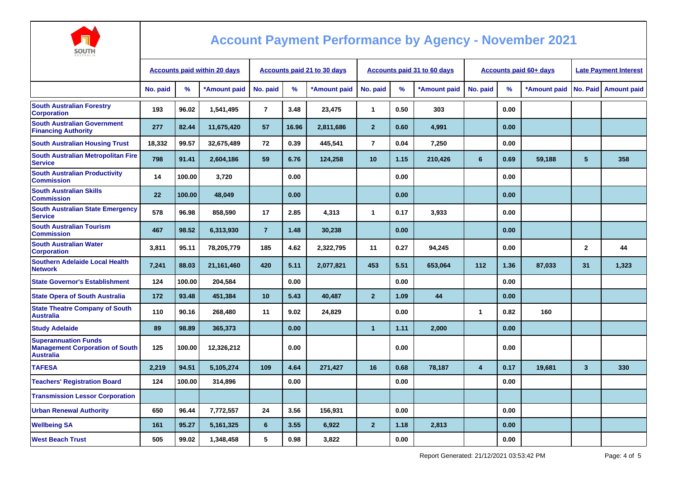

| <b>AUSTRALIA</b>                                                                          |                                     |        |              |                             |       |              |                |      |                             |                               |      |              |                              |                        |
|-------------------------------------------------------------------------------------------|-------------------------------------|--------|--------------|-----------------------------|-------|--------------|----------------|------|-----------------------------|-------------------------------|------|--------------|------------------------------|------------------------|
|                                                                                           | <b>Accounts paid within 20 days</b> |        |              | Accounts paid 21 to 30 days |       |              |                |      | Accounts paid 31 to 60 days | <b>Accounts paid 60+ days</b> |      |              | <b>Late Payment Interest</b> |                        |
|                                                                                           | No. paid                            | %      | *Amount paid | No. paid                    | %     | *Amount paid | No. paid       | %    | *Amount paid                | No. paid                      | %    | *Amount paid |                              | No. Paid   Amount paid |
| <b>South Australian Forestry</b><br><b>Corporation</b>                                    | 193                                 | 96.02  | 1,541,495    | $\overline{7}$              | 3.48  | 23,475       | $\mathbf{1}$   | 0.50 | 303                         |                               | 0.00 |              |                              |                        |
| <b>South Australian Government</b><br><b>Financing Authority</b>                          | 277                                 | 82.44  | 11,675,420   | 57                          | 16.96 | 2,811,686    | $\overline{2}$ | 0.60 | 4,991                       |                               | 0.00 |              |                              |                        |
| <b>South Australian Housing Trust</b>                                                     | 18,332                              | 99.57  | 32,675,489   | 72                          | 0.39  | 445,541      | $\overline{7}$ | 0.04 | 7,250                       |                               | 0.00 |              |                              |                        |
| <b>South Australian Metropolitan Fire</b><br><b>Service</b>                               | 798                                 | 91.41  | 2,604,186    | 59                          | 6.76  | 124,258      | 10             | 1.15 | 210,426                     | 6                             | 0.69 | 59,188       | 5                            | 358                    |
| <b>South Australian Productivity</b><br><b>Commission</b>                                 | 14                                  | 100.00 | 3,720        |                             | 0.00  |              |                | 0.00 |                             |                               | 0.00 |              |                              |                        |
| <b>South Australian Skills</b><br><b>Commission</b>                                       | 22                                  | 100.00 | 48,049       |                             | 0.00  |              |                | 0.00 |                             |                               | 0.00 |              |                              |                        |
| <b>South Australian State Emergency</b><br><b>Service</b>                                 | 578                                 | 96.98  | 858,590      | 17                          | 2.85  | 4,313        | $\mathbf{1}$   | 0.17 | 3,933                       |                               | 0.00 |              |                              |                        |
| <b>South Australian Tourism</b><br><b>Commission</b>                                      | 467                                 | 98.52  | 6,313,930    | $\overline{7}$              | 1.48  | 30,238       |                | 0.00 |                             |                               | 0.00 |              |                              |                        |
| <b>South Australian Water</b><br><b>Corporation</b>                                       | 3,811                               | 95.11  | 78,205,779   | 185                         | 4.62  | 2,322,795    | 11             | 0.27 | 94,245                      |                               | 0.00 |              | $\overline{2}$               | 44                     |
| <b>Southern Adelaide Local Health</b><br><b>Network</b>                                   | 7,241                               | 88.03  | 21,161,460   | 420                         | 5.11  | 2,077,821    | 453            | 5.51 | 653,064                     | 112                           | 1.36 | 87,033       | 31                           | 1,323                  |
| <b>State Governor's Establishment</b>                                                     | 124                                 | 100.00 | 204,584      |                             | 0.00  |              |                | 0.00 |                             |                               | 0.00 |              |                              |                        |
| <b>State Opera of South Australia</b>                                                     | 172                                 | 93.48  | 451,384      | 10                          | 5.43  | 40,487       | $\overline{2}$ | 1.09 | 44                          |                               | 0.00 |              |                              |                        |
| <b>State Theatre Company of South</b><br><b>Australia</b>                                 | 110                                 | 90.16  | 268,480      | 11                          | 9.02  | 24,829       |                | 0.00 |                             | 1                             | 0.82 | 160          |                              |                        |
| <b>Study Adelaide</b>                                                                     | 89                                  | 98.89  | 365,373      |                             | 0.00  |              | $\mathbf{1}$   | 1.11 | 2,000                       |                               | 0.00 |              |                              |                        |
| <b>Superannuation Funds</b><br><b>Management Corporation of South</b><br><b>Australia</b> | 125                                 | 100.00 | 12,326,212   |                             | 0.00  |              |                | 0.00 |                             |                               | 0.00 |              |                              |                        |
| <b>TAFESA</b>                                                                             | 2,219                               | 94.51  | 5,105,274    | 109                         | 4.64  | 271,427      | 16             | 0.68 | 78,187                      | $\overline{\mathbf{4}}$       | 0.17 | 19,681       | $\overline{\mathbf{3}}$      | 330                    |
| <b>Teachers' Registration Board</b>                                                       | 124                                 | 100.00 | 314,896      |                             | 0.00  |              |                | 0.00 |                             |                               | 0.00 |              |                              |                        |
| <b>Transmission Lessor Corporation</b>                                                    |                                     |        |              |                             |       |              |                |      |                             |                               |      |              |                              |                        |
| <b>Urban Renewal Authority</b>                                                            | 650                                 | 96.44  | 7,772,557    | 24                          | 3.56  | 156,931      |                | 0.00 |                             |                               | 0.00 |              |                              |                        |
| <b>Wellbeing SA</b>                                                                       | 161                                 | 95.27  | 5,161,325    | $6\phantom{1}6$             | 3.55  | 6,922        | $\overline{2}$ | 1.18 | 2,813                       |                               | 0.00 |              |                              |                        |
| <b>West Beach Trust</b>                                                                   | 505                                 | 99.02  | 1,348,458    | 5                           | 0.98  | 3,822        |                | 0.00 |                             |                               | 0.00 |              |                              |                        |